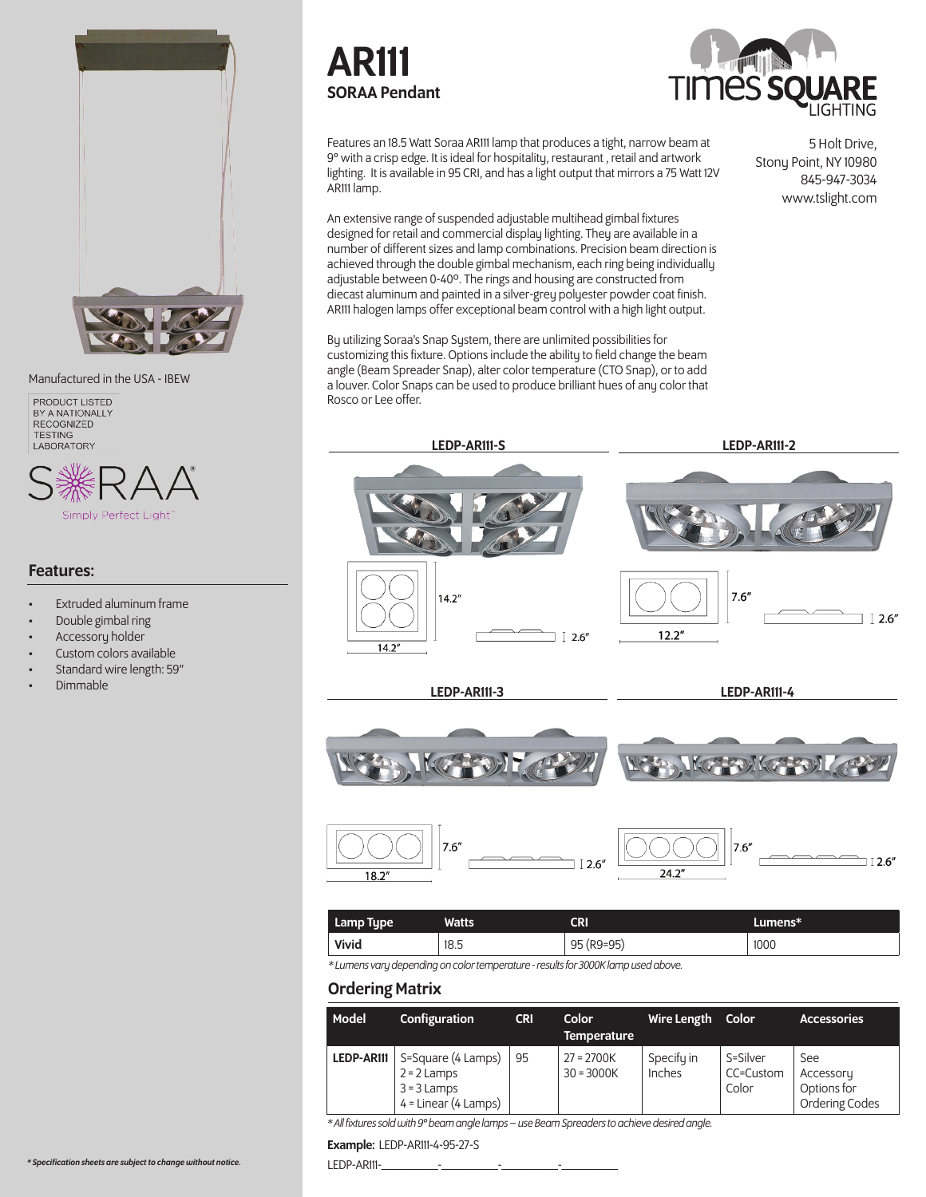

Manufactured in the USA - IBEW



#### Features:

- **Extruded aluminum frame**
- Double gimbal ring
- Accessory holder
- Custom colors available
- Standard wire length: 59"
- Dimmable





5 Holt Drive,

Stony Point, NY 10980 845-947-3034 www.tslight.com

Features an 18.5 Watt Soraa AR111 lamp that produces a tight, narrow beam at 9° with a crisp edge. It is ideal for hospitality, restaurant , retail and artwork lighting. It is available in 95 CRI, and has a light output that mirrors a 75 Watt 12V AR111 lamp.

An extensive range of suspended adjustable multihead gimbal fixtures designed for retail and commercial display lighting. They are available in a number of different sizes and lamp combinations. Precision beam direction is achieved through the double gimbal mechanism, each ring being individually adjustable between 0-40º. The rings and housing are constructed from diecast aluminum and painted in a silver-grey polyester powder coat finish. AR111 halogen lamps offer exceptional beam control with a high light output.

By utilizing Soraa's Snap System, there are unlimited possibilities for customizing this fixture. Options include the ability to field change the beam angle (Beam Spreader Snap), alter color temperature (CTO Snap), or to add a louver. Color Snaps can be used to produce brilliant hues of any color that Rosco or Lee offer.



| Lamp Type    | <b>Watts</b> | CRI        | Lumens* |
|--------------|--------------|------------|---------|
| <b>Vivid</b> | 18.5         | 95 (R9=95) | 1000    |

*\* Lumens vary depending on color temperature - results for 3000K lamp used above.*

### Ordering Matrix

| Model      | Configuration                                                                  | <b>CRI</b> | <b>Color</b><br><b>Temperature</b> | Wire Length          | Color                          | <b>Accessories</b>                                |
|------------|--------------------------------------------------------------------------------|------------|------------------------------------|----------------------|--------------------------------|---------------------------------------------------|
| LEDP-AR111 | S=Square (4 Lamps)<br>$2 = 2$ Lamps<br>$3 = 3$ Lamps<br>$4 = Linear (4 Lamps)$ | 95         | $27 = 2700K$<br>$30 = 3000K$       | Specify in<br>Inches | S=Silver<br>CC=Custom<br>Color | See<br>Accessory<br>Options for<br>Ordering Codes |

*\* All fixtures sold with 9° beam angle lamps – use Beam Spreaders to achieve desired angle.*

Example: LEDP-AR111-4-95-27-S